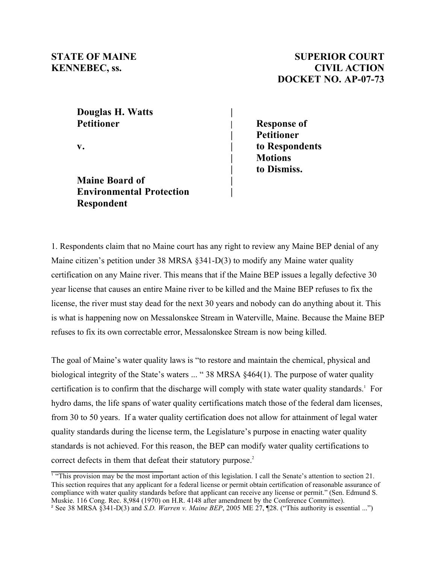### **Douglas H. Watts | Petitioner | Response of**

**Maine Board of | Environmental Protection | Respondent**

## **STATE OF MAINE SUPERIOR COURT KENNEBEC, ss. CIVIL ACTION DOCKET NO. AP-07-73**

**| Petitioner v. | to Respondents | Motions | to Dismiss.**

1. Respondents claim that no Maine court has any right to review any Maine BEP denial of any Maine citizen's petition under 38 MRSA §341-D(3) to modify any Maine water quality certification on any Maine river. This means that if the Maine BEP issues a legally defective 30 year license that causes an entire Maine river to be killed and the Maine BEP refuses to fix the license, the river must stay dead for the next 30 years and nobody can do anything about it. This is what is happening now on Messalonskee Stream in Waterville, Maine. Because the Maine BEP refuses to fix its own correctable error, Messalonskee Stream is now being killed.

The goal of Maine's water quality laws is "to restore and maintain the chemical, physical and biological integrity of the State's waters ... " 38 MRSA §464(1). The purpose of water quality certification is to confirm that the discharge will comply with state water quality standards.<sup>1</sup> For hydro dams, the life spans of water quality certifications match those of the federal dam licenses, from 30 to 50 years. If a water quality certification does not allow for attainment of legal water quality standards during the license term, the Legislature's purpose in enacting water quality standards is not achieved. For this reason, the BEP can modify water quality certifications to correct defects in them that defeat their statutory purpose.<sup>2</sup>

<sup>1</sup> "This provision may be the most important action of this legislation. I call the Senate's attention to section 21. This section requires that any applicant for a federal license or permit obtain certification of reasonable assurance of compliance with water quality standards before that applicant can receive any license or permit." (Sen. Edmund S. Muskie. 116 Cong. Rec. 8,984 (1970) on H.R. 4148 after amendment by the Conference Committee).

<sup>2</sup> See 38 MRSA §341-D(3) and *S.D. Warren v. Maine BEP*, 2005 ME 27, ¶28. ("This authority is essential ...")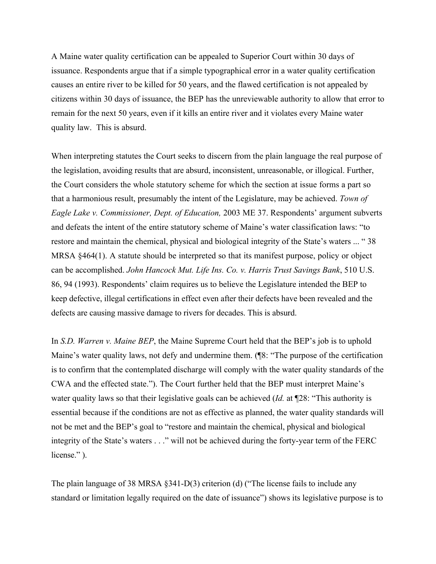A Maine water quality certification can be appealed to Superior Court within 30 days of issuance. Respondents argue that if a simple typographical error in a water quality certification causes an entire river to be killed for 50 years, and the flawed certification is not appealed by citizens within 30 days of issuance, the BEP has the unreviewable authority to allow that error to remain for the next 50 years, even if it kills an entire river and it violates every Maine water quality law. This is absurd.

When interpreting statutes the Court seeks to discern from the plain language the real purpose of the legislation, avoiding results that are absurd, inconsistent, unreasonable, or illogical. Further, the Court considers the whole statutory scheme for which the section at issue forms a part so that a harmonious result, presumably the intent of the Legislature, may be achieved. *Town of Eagle Lake v. Commissioner, Dept. of Education,* 2003 ME 37. Respondents' argument subverts and defeats the intent of the entire statutory scheme of Maine's water classification laws: "to restore and maintain the chemical, physical and biological integrity of the State's waters ... " 38 MRSA §464(1). A statute should be interpreted so that its manifest purpose, policy or object can be accomplished. *John Hancock Mut. Life Ins. Co. v. Harris Trust Savings Bank*, 510 U.S. 86, 94 (1993). Respondents' claim requires us to believe the Legislature intended the BEP to keep defective, illegal certifications in effect even after their defects have been revealed and the defects are causing massive damage to rivers for decades. This is absurd.

In *S.D. Warren v. Maine BEP*, the Maine Supreme Court held that the BEP's job is to uphold Maine's water quality laws, not defy and undermine them. (¶8: "The purpose of the certification is to confirm that the contemplated discharge will comply with the water quality standards of the CWA and the effected state."). The Court further held that the BEP must interpret Maine's water quality laws so that their legislative goals can be achieved (*Id.* at ¶28: "This authority is essential because if the conditions are not as effective as planned, the water quality standards will not be met and the BEP's goal to "restore and maintain the chemical, physical and biological integrity of the State's waters . . ." will not be achieved during the forty-year term of the FERC license." ).

The plain language of 38 MRSA §341-D(3) criterion (d) ("The license fails to include any standard or limitation legally required on the date of issuance") shows its legislative purpose is to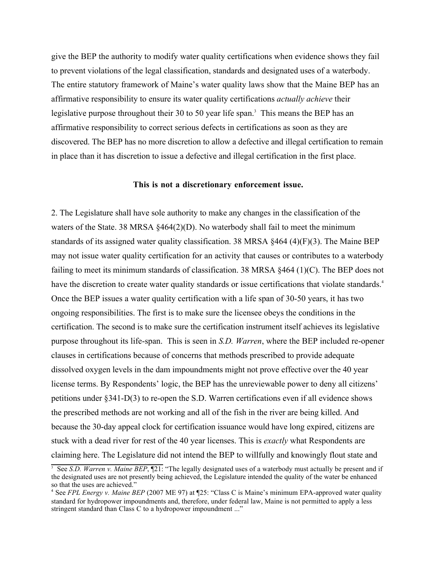give the BEP the authority to modify water quality certifications when evidence shows they fail to prevent violations of the legal classification, standards and designated uses of a waterbody. The entire statutory framework of Maine's water quality laws show that the Maine BEP has an affirmative responsibility to ensure its water quality certifications *actually achieve* their legislative purpose throughout their 30 to 50 year life span.<sup>3</sup> This means the BEP has an affirmative responsibility to correct serious defects in certifications as soon as they are discovered. The BEP has no more discretion to allow a defective and illegal certification to remain in place than it has discretion to issue a defective and illegal certification in the first place.

#### **This is not a discretionary enforcement issue.**

2. The Legislature shall have sole authority to make any changes in the classification of the waters of the State. 38 MRSA  $\S 464(2)(D)$ . No waterbody shall fail to meet the minimum standards of its assigned water quality classification. 38 MRSA §464 (4)(F)(3). The Maine BEP may not issue water quality certification for an activity that causes or contributes to a waterbody failing to meet its minimum standards of classification. 38 MRSA §464 (1)(C). The BEP does not have the discretion to create water quality standards or issue certifications that violate standards.<sup>4</sup> Once the BEP issues a water quality certification with a life span of 30-50 years, it has two ongoing responsibilities. The first is to make sure the licensee obeys the conditions in the certification. The second is to make sure the certification instrument itself achieves its legislative purpose throughout its life-span. This is seen in *S.D. Warren*, where the BEP included re-opener clauses in certifications because of concerns that methods prescribed to provide adequate dissolved oxygen levels in the dam impoundments might not prove effective over the 40 year license terms. By Respondents' logic, the BEP has the unreviewable power to deny all citizens' petitions under §341-D(3) to re-open the S.D. Warren certifications even if all evidence shows the prescribed methods are not working and all of the fish in the river are being killed. And because the 30-day appeal clock for certification issuance would have long expired, citizens are stuck with a dead river for rest of the 40 year licenses. This is *exactly* what Respondents are claiming here. The Legislature did not intend the BEP to willfully and knowingly flout state and

<sup>&</sup>lt;sup>3</sup> See *S.D. Warren v. Maine BEP*,  $\P$ 21: "The legally designated uses of a waterbody must actually be present and if the designated uses are not presently being achieved, the Legislature intended the quality of the water be enhanced so that the uses are achieved."

<sup>4</sup> See *FPL Energy v. Maine BEP* (2007 ME 97) at ¶25: "Class C is Maine's minimum EPA-approved water quality standard for hydropower impoundments and, therefore, under federal law, Maine is not permitted to apply a less stringent standard than Class C to a hydropower impoundment ..."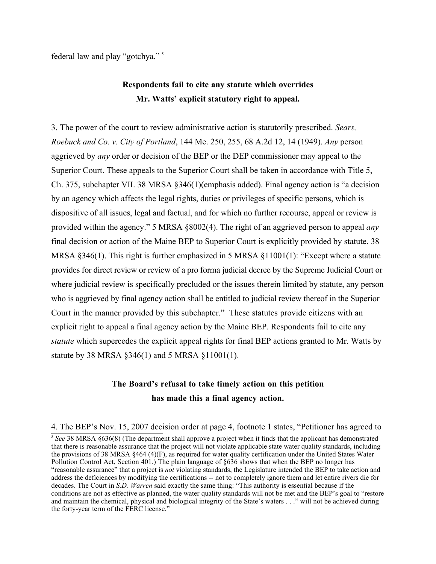federal law and play "gotchya." 5

# **Respondents fail to cite any statute which overrides Mr. Watts' explicit statutory right to appeal.**

3. The power of the court to review administrative action is statutorily prescribed. *Sears, Roebuck and Co. v. City of Portland*, 144 Me. 250, 255, 68 A.2d 12, 14 (1949). *Any* person aggrieved by *any* order or decision of the BEP or the DEP commissioner may appeal to the Superior Court. These appeals to the Superior Court shall be taken in accordance with Title 5, Ch. 375, subchapter VII. 38 MRSA §346(1)(emphasis added). Final agency action is "a decision by an agency which affects the legal rights, duties or privileges of specific persons, which is dispositive of all issues, legal and factual, and for which no further recourse, appeal or review is provided within the agency." 5 MRSA §8002(4). The right of an aggrieved person to appeal *any* final decision or action of the Maine BEP to Superior Court is explicitly provided by statute. 38 MRSA §346(1). This right is further emphasized in 5 MRSA §11001(1): "Except where a statute provides for direct review or review of a pro forma judicial decree by the Supreme Judicial Court or where judicial review is specifically precluded or the issues therein limited by statute, any person who is aggrieved by final agency action shall be entitled to judicial review thereof in the Superior Court in the manner provided by this subchapter." These statutes provide citizens with an explicit right to appeal a final agency action by the Maine BEP. Respondents fail to cite any *statute* which supercedes the explicit appeal rights for final BEP actions granted to Mr. Watts by statute by 38 MRSA §346(1) and 5 MRSA §11001(1).

## **The Board's refusal to take timely action on this petition has made this a final agency action.**

<sup>4.</sup> The BEP's Nov. 15, 2007 decision order at page 4, footnote 1 states, "Petitioner has agreed to

<sup>5</sup> *See* 38 MRSA §636(8) (The department shall approve a project when it finds that the applicant has demonstrated that there is reasonable assurance that the project will not violate applicable state water quality standards, including the provisions of 38 MRSA §464 (4)(F), as required for water quality certification under the United States Water Pollution Control Act, Section 401.) The plain language of §636 shows that when the BEP no longer has "reasonable assurance" that a project is *not* violating standards, the Legislature intended the BEP to take action and address the deficiences by modifying the certifications -- not to completely ignore them and let entire rivers die for decades. The Court in *S.D. Warren* said exactly the same thing: "This authority is essential because if the conditions are not as effective as planned, the water quality standards will not be met and the BEP's goal to "restore and maintain the chemical, physical and biological integrity of the State's waters . . ." will not be achieved during the forty-year term of the FERC license."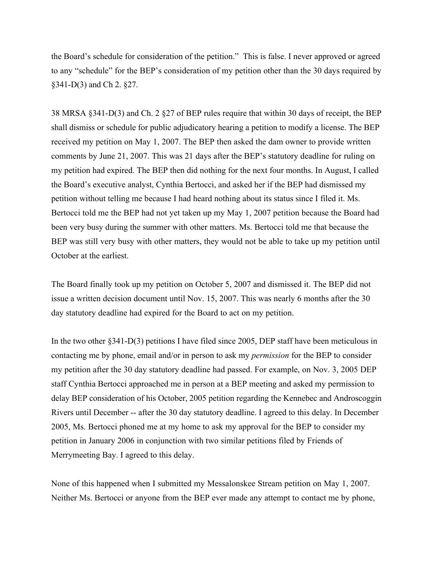the Board's schedule for consideration of the petition." This is false. I never approved or agreed to any "schedule" for the BEP's consideration of my petition other than the 30 days required by §341-D(3) and Ch 2. §27.

38 MRSA §341-D(3) and Ch. 2 §27 of BEP rules require that within 30 days of receipt, the BEP shall dismiss or schedule for public adjudicatory hearing a petition to modify a license. The BEP received my petition on May 1, 2007. The BEP then asked the dam owner to provide written comments by June 21, 2007. This was 21 days after the BEP's statutory deadline for ruling on my petition had expired. The BEP then did nothing for the next four months. In August, I called the Board's executive analyst, Cynthia Bertocci, and asked her if the BEP had dismissed my petition without telling me because I had heard nothing about its status since I filed it. Ms. Bertocci told me the BEP had not yet taken up my May 1, 2007 petition because the Board had been very busy during the summer with other matters. Ms. Bertocci told me that because the BEP was still very busy with other matters, they would not be able to take up my petition until October at the earliest.

The Board finally took up my petition on October 5, 2007 and dismissed it. The BEP did not issue a written decision document until Nov. 15, 2007. This was nearly 6 months after the 30 day statutory deadline had expired for the Board to act on my petition.

In the two other §341-D(3) petitions I have filed since 2005, DEP staff have been meticulous in contacting me by phone, email and/or in person to ask my *permission* for the BEP to consider my petition after the 30 day statutory deadline had passed. For example, on Nov. 3, 2005 DEP staff Cynthia Bertocci approached me in person at a BEP meeting and asked my permission to delay BEP consideration of his October, 2005 petition regarding the Kennebec and Androscoggin Rivers until December -- after the 30 day statutory deadline. I agreed to this delay. In December 2005, Ms. Bertocci phoned me at my home to ask my approval for the BEP to consider my petition in January 2006 in conjunction with two similar petitions filed by Friends of Merrymeeting Bay. I agreed to this delay.

None of this happened when I submitted my Messalonskee Stream petition on May 1, 2007. Neither Ms. Bertocci or anyone from the BEP ever made any attempt to contact me by phone,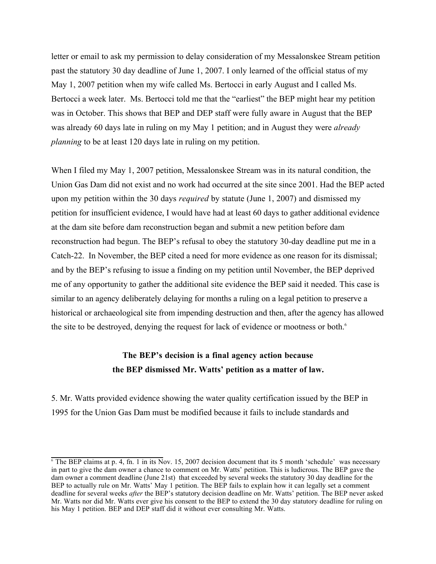letter or email to ask my permission to delay consideration of my Messalonskee Stream petition past the statutory 30 day deadline of June 1, 2007. I only learned of the official status of my May 1, 2007 petition when my wife called Ms. Bertocci in early August and I called Ms. Bertocci a week later. Ms. Bertocci told me that the "earliest" the BEP might hear my petition was in October. This shows that BEP and DEP staff were fully aware in August that the BEP was already 60 days late in ruling on my May 1 petition; and in August they were *already planning* to be at least 120 days late in ruling on my petition.

When I filed my May 1, 2007 petition, Messalonskee Stream was in its natural condition, the Union Gas Dam did not exist and no work had occurred at the site since 2001. Had the BEP acted upon my petition within the 30 days *required* by statute (June 1, 2007) and dismissed my petition for insufficient evidence, I would have had at least 60 days to gather additional evidence at the dam site before dam reconstruction began and submit a new petition before dam reconstruction had begun. The BEP's refusal to obey the statutory 30-day deadline put me in a Catch-22. In November, the BEP cited a need for more evidence as one reason for its dismissal; and by the BEP's refusing to issue a finding on my petition until November, the BEP deprived me of any opportunity to gather the additional site evidence the BEP said it needed. This case is similar to an agency deliberately delaying for months a ruling on a legal petition to preserve a historical or archaeological site from impending destruction and then, after the agency has allowed the site to be destroyed, denying the request for lack of evidence or mootness or both.<sup>6</sup>

### **The BEP's decision is a final agency action because the BEP dismissed Mr. Watts' petition as a matter of law.**

5. Mr. Watts provided evidence showing the water quality certification issued by the BEP in 1995 for the Union Gas Dam must be modified because it fails to include standards and

 $\overline{6}$  The BEP claims at p. 4, fn. 1 in its Nov. 15, 2007 decision document that its 5 month 'schedule' was necessary in part to give the dam owner a chance to comment on Mr. Watts' petition. This is ludicrous. The BEP gave the dam owner a comment deadline (June 21st) that exceeded by several weeks the statutory 30 day deadline for the BEP to actually rule on Mr. Watts' May 1 petition. The BEP fails to explain how it can legally set a comment deadline for several weeks *after* the BEP's statutory decision deadline on Mr. Watts' petition. The BEP never asked Mr. Watts nor did Mr. Watts ever give his consent to the BEP to extend the 30 day statutory deadline for ruling on his May 1 petition. BEP and DEP staff did it without ever consulting Mr. Watts.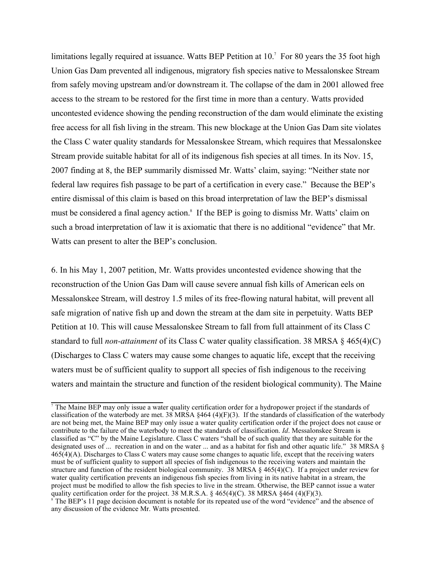limitations legally required at issuance. Watts BEP Petition at 10.<sup>7</sup> For 80 years the 35 foot high Union Gas Dam prevented all indigenous, migratory fish species native to Messalonskee Stream from safely moving upstream and/or downstream it. The collapse of the dam in 2001 allowed free access to the stream to be restored for the first time in more than a century. Watts provided uncontested evidence showing the pending reconstruction of the dam would eliminate the existing free access for all fish living in the stream. This new blockage at the Union Gas Dam site violates the Class C water quality standards for Messalonskee Stream, which requires that Messalonskee Stream provide suitable habitat for all of its indigenous fish species at all times. In its Nov. 15, 2007 finding at 8, the BEP summarily dismissed Mr. Watts' claim, saying: "Neither state nor federal law requires fish passage to be part of a certification in every case." Because the BEP's entire dismissal of this claim is based on this broad interpretation of law the BEP's dismissal must be considered a final agency action.<sup>8</sup> If the BEP is going to dismiss Mr. Watts' claim on such a broad interpretation of law it is axiomatic that there is no additional "evidence" that Mr. Watts can present to alter the BEP's conclusion.

6. In his May 1, 2007 petition, Mr. Watts provides uncontested evidence showing that the reconstruction of the Union Gas Dam will cause severe annual fish kills of American eels on Messalonskee Stream, will destroy 1.5 miles of its free-flowing natural habitat, will prevent all safe migration of native fish up and down the stream at the dam site in perpetuity. Watts BEP Petition at 10. This will cause Messalonskee Stream to fall from full attainment of its Class C standard to full *non-attainment* of its Class C water quality classification. 38 MRSA § 465(4)(C) (Discharges to Class C waters may cause some changes to aquatic life, except that the receiving waters must be of sufficient quality to support all species of fish indigenous to the receiving waters and maintain the structure and function of the resident biological community). The Maine

<sup>&</sup>lt;sup>7</sup> The Maine BEP may only issue a water quality certification order for a hydropower project if the standards of classification of the waterbody are met. 38 MRSA  $\S 464$  (4)(F)(3). If the standards of classification of the waterbody are not being met, the Maine BEP may only issue a water quality certification order if the project does not cause or contribute to the failure of the waterbody to meet the standards of classification. *Id*. Messalonskee Stream is classified as "C" by the Maine Legislature. Class C waters "shall be of such quality that they are suitable for the designated uses of ... recreation in and on the water ... and as a habitat for fish and other aquatic life." 38 MRSA § 465(4)(A). Discharges to Class C waters may cause some changes to aquatic life, except that the receiving waters must be of sufficient quality to support all species of fish indigenous to the receiving waters and maintain the structure and function of the resident biological community. 38 MRSA § 465(4)(C). If a project under review for water quality certification prevents an indigenous fish species from living in its native habitat in a stream, the project must be modified to allow the fish species to live in the stream. Otherwise, the BEP cannot issue a water quality certification order for the project. 38 M.R.S.A.  $\S 465(4)(C)$ . 38 MRSA  $\S 464(4)(F)(3)$ .  $\delta$  The BEP's 11 page decision document is notable for its repeated use of the word "evidence" and the absence of

any discussion of the evidence Mr. Watts presented.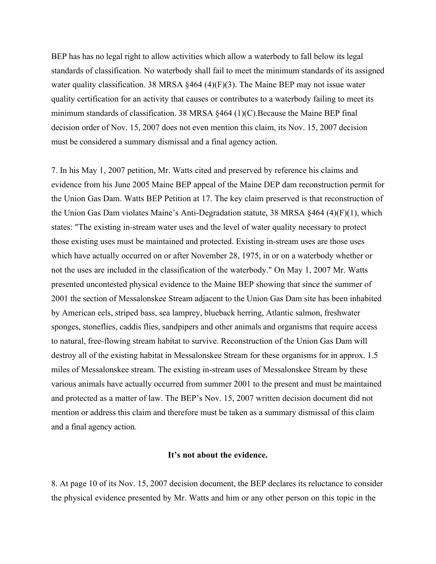BEP has has no legal right to allow activities which allow a waterbody to fall below its legal standards of classification. No waterbody shall fail to meet the minimum standards of its assigned water quality classification. 38 MRSA §464 (4)(F)(3). The Maine BEP may not issue water quality certification for an activity that causes or contributes to a waterbody failing to meet its minimum standards of classification. 38 MRSA §464 (1)(C).Because the Maine BEP final decision order of Nov. 15, 2007 does not even mention this claim, its Nov. 15, 2007 decision must be considered a summary dismissal and a final agency action.

7. In his May 1, 2007 petition, Mr. Watts cited and preserved by reference his claims and evidence from his June 2005 Maine BEP appeal of the Maine DEP dam reconstruction permit for the Union Gas Dam. Watts BEP Petition at 17. The key claim preserved is that reconstruction of the Union Gas Dam violates Maine's Anti-Degradation statute, 38 MRSA §464 (4)(F)(1), which states: "The existing in-stream water uses and the level of water quality necessary to protect those existing uses must be maintained and protected. Existing in-stream uses are those uses which have actually occurred on or after November 28, 1975, in or on a waterbody whether or not the uses are included in the classification of the waterbody." On May 1, 2007 Mr. Watts presented uncontested physical evidence to the Maine BEP showing that since the summer of 2001 the section of Messalonskee Stream adjacent to the Union Gas Dam site has been inhabited by American eels, striped bass, sea lamprey, blueback herring, Atlantic salmon, freshwater sponges, stoneflies, caddis flies, sandpipers and other animals and organisms that require access to natural, free-flowing stream habitat to survive. Reconstruction of the Union Gas Dam will destroy all of the existing habitat in Messalonskee Stream for these organisms for in approx. 1.5 miles of Messalonskee stream. The existing in-stream uses of Messalonskee Stream by these various animals have actually occurred from summer 2001 to the present and must be maintained and protected as a matter of law. The BEP's Nov. 15, 2007 written decision document did not mention or address this claim and therefore must be taken as a summary dismissal of this claim and a final agency action.

#### **It's not about the evidence.**

8. At page 10 of its Nov. 15, 2007 decision document, the BEP declares its reluctance to consider the physical evidence presented by Mr. Watts and him or any other person on this topic in the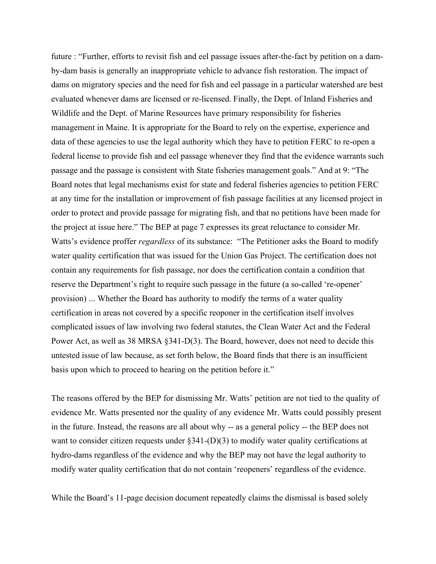future : "Further, efforts to revisit fish and eel passage issues after-the-fact by petition on a damby-dam basis is generally an inappropriate vehicle to advance fish restoration. The impact of dams on migratory species and the need for fish and eel passage in a particular watershed are best evaluated whenever dams are licensed or re-licensed. Finally, the Dept. of Inland Fisheries and Wildlife and the Dept. of Marine Resources have primary responsibility for fisheries management in Maine. It is appropriate for the Board to rely on the expertise, experience and data of these agencies to use the legal authority which they have to petition FERC to re-open a federal license to provide fish and eel passage whenever they find that the evidence warrants such passage and the passage is consistent with State fisheries management goals." And at 9: "The Board notes that legal mechanisms exist for state and federal fisheries agencies to petition FERC at any time for the installation or improvement of fish passage facilities at any licensed project in order to protect and provide passage for migrating fish, and that no petitions have been made for the project at issue here." The BEP at page 7 expresses its great reluctance to consider Mr. Watts's evidence proffer *regardless* of its substance: "The Petitioner asks the Board to modify water quality certification that was issued for the Union Gas Project. The certification does not contain any requirements for fish passage, nor does the certification contain a condition that reserve the Department's right to require such passage in the future (a so-called 're-opener' provision) ... Whether the Board has authority to modify the terms of a water quality certification in areas not covered by a specific reoponer in the certification itself involves complicated issues of law involving two federal statutes, the Clean Water Act and the Federal Power Act, as well as 38 MRSA §341-D(3). The Board, however, does not need to decide this untested issue of law because, as set forth below, the Board finds that there is an insufficient basis upon which to proceed to hearing on the petition before it."

The reasons offered by the BEP for dismissing Mr. Watts' petition are not tied to the quality of evidence Mr. Watts presented nor the quality of any evidence Mr. Watts could possibly present in the future. Instead, the reasons are all about why -- as a general policy -- the BEP does not want to consider citizen requests under §341-(D)(3) to modify water quality certifications at hydro-dams regardless of the evidence and why the BEP may not have the legal authority to modify water quality certification that do not contain 'reopeners' regardless of the evidence.

While the Board's 11-page decision document repeatedly claims the dismissal is based solely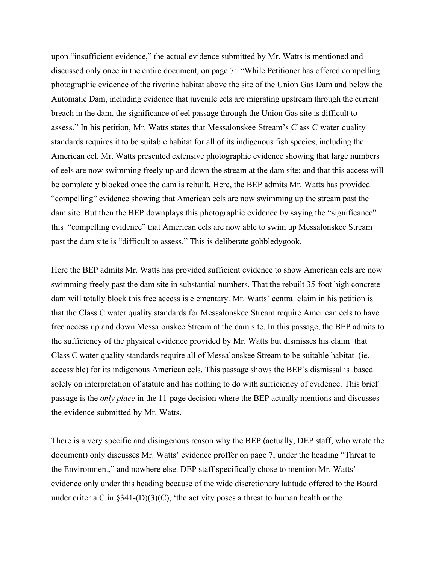upon "insufficient evidence," the actual evidence submitted by Mr. Watts is mentioned and discussed only once in the entire document, on page 7: "While Petitioner has offered compelling photographic evidence of the riverine habitat above the site of the Union Gas Dam and below the Automatic Dam, including evidence that juvenile eels are migrating upstream through the current breach in the dam, the significance of eel passage through the Union Gas site is difficult to assess." In his petition, Mr. Watts states that Messalonskee Stream's Class C water quality standards requires it to be suitable habitat for all of its indigenous fish species, including the American eel. Mr. Watts presented extensive photographic evidence showing that large numbers of eels are now swimming freely up and down the stream at the dam site; and that this access will be completely blocked once the dam is rebuilt. Here, the BEP admits Mr. Watts has provided "compelling" evidence showing that American eels are now swimming up the stream past the dam site. But then the BEP downplays this photographic evidence by saying the "significance" this "compelling evidence" that American eels are now able to swim up Messalonskee Stream past the dam site is "difficult to assess." This is deliberate gobbledygook.

Here the BEP admits Mr. Watts has provided sufficient evidence to show American eels are now swimming freely past the dam site in substantial numbers. That the rebuilt 35-foot high concrete dam will totally block this free access is elementary. Mr. Watts' central claim in his petition is that the Class C water quality standards for Messalonskee Stream require American eels to have free access up and down Messalonskee Stream at the dam site. In this passage, the BEP admits to the sufficiency of the physical evidence provided by Mr. Watts but dismisses his claim that Class C water quality standards require all of Messalonskee Stream to be suitable habitat (ie. accessible) for its indigenous American eels. This passage shows the BEP's dismissal is based solely on interpretation of statute and has nothing to do with sufficiency of evidence. This brief passage is the *only place* in the 11-page decision where the BEP actually mentions and discusses the evidence submitted by Mr. Watts.

There is a very specific and disingenous reason why the BEP (actually, DEP staff, who wrote the document) only discusses Mr. Watts' evidence proffer on page 7, under the heading "Threat to the Environment," and nowhere else. DEP staff specifically chose to mention Mr. Watts' evidence only under this heading because of the wide discretionary latitude offered to the Board under criteria C in  $\S 341-(D)(3)(C)$ , 'the activity poses a threat to human health or the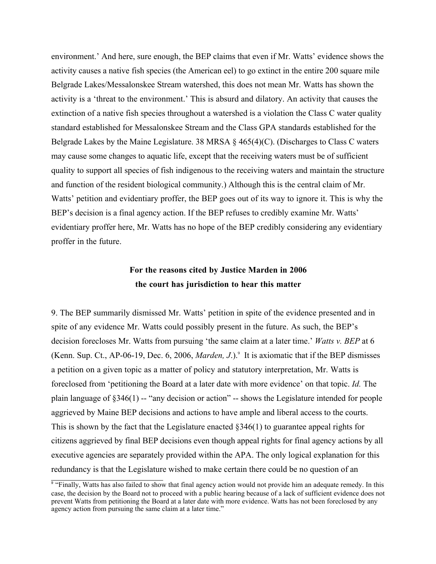environment.' And here, sure enough, the BEP claims that even if Mr. Watts' evidence shows the activity causes a native fish species (the American eel) to go extinct in the entire 200 square mile Belgrade Lakes/Messalonskee Stream watershed, this does not mean Mr. Watts has shown the activity is a 'threat to the environment.' This is absurd and dilatory. An activity that causes the extinction of a native fish species throughout a watershed is a violation the Class C water quality standard established for Messalonskee Stream and the Class GPA standards established for the Belgrade Lakes by the Maine Legislature. 38 MRSA  $\S$  465(4)(C). (Discharges to Class C waters may cause some changes to aquatic life, except that the receiving waters must be of sufficient quality to support all species of fish indigenous to the receiving waters and maintain the structure and function of the resident biological community.) Although this is the central claim of Mr. Watts' petition and evidentiary proffer, the BEP goes out of its way to ignore it. This is why the BEP's decision is a final agency action. If the BEP refuses to credibly examine Mr. Watts' evidentiary proffer here, Mr. Watts has no hope of the BEP credibly considering any evidentiary proffer in the future.

## **For the reasons cited by Justice Marden in 2006 the court has jurisdiction to hear this matter**

9. The BEP summarily dismissed Mr. Watts' petition in spite of the evidence presented and in spite of any evidence Mr. Watts could possibly present in the future. As such, the BEP's decision forecloses Mr. Watts from pursuing 'the same claim at a later time.' *Watts v. BEP* at 6 (Kenn. Sup. Ct., AP-06-19, Dec. 6, 2006, *Marden, J.*).<sup>9</sup> It is axiomatic that if the BEP dismisses a petition on a given topic as a matter of policy and statutory interpretation, Mr. Watts is foreclosed from 'petitioning the Board at a later date with more evidence' on that topic. *Id.* The plain language of  $\S 346(1)$  -- "any decision or action" -- shows the Legislature intended for people aggrieved by Maine BEP decisions and actions to have ample and liberal access to the courts. This is shown by the fact that the Legislature enacted §346(1) to guarantee appeal rights for citizens aggrieved by final BEP decisions even though appeal rights for final agency actions by all executive agencies are separately provided within the APA. The only logical explanation for this redundancy is that the Legislature wished to make certain there could be no question of an

<sup>&</sup>lt;sup>9</sup> "Finally, Watts has also failed to show that final agency action would not provide him an adequate remedy. In this case, the decision by the Board not to proceed with a public hearing because of a lack of sufficient evidence does not prevent Watts from petitioning the Board at a later date with more evidence. Watts has not been foreclosed by any agency action from pursuing the same claim at a later time."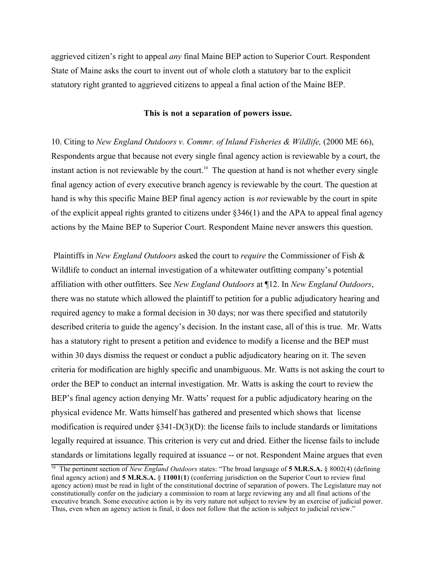aggrieved citizen's right to appeal *any* final Maine BEP action to Superior Court. Respondent State of Maine asks the court to invent out of whole cloth a statutory bar to the explicit statutory right granted to aggrieved citizens to appeal a final action of the Maine BEP.

#### **This is not a separation of powers issue.**

10. Citing to *New England Outdoors v. Commr. of Inland Fisheries & Wildlife,* (2000 ME 66), Respondents argue that because not every single final agency action is reviewable by a court, the instant action is not reviewable by the court.<sup>10</sup> The question at hand is not whether every single final agency action of every executive branch agency is reviewable by the court. The question at hand is why this specific Maine BEP final agency action is *not* reviewable by the court in spite of the explicit appeal rights granted to citizens under §346(1) and the APA to appeal final agency actions by the Maine BEP to Superior Court. Respondent Maine never answers this question.

 Plaintiffs in *New England Outdoors* asked the court to *require* the Commissioner of Fish & Wildlife to conduct an internal investigation of a whitewater outfitting company's potential affiliation with other outfitters. See *New England Outdoors* at ¶12. In *New England Outdoors*, there was no statute which allowed the plaintiff to petition for a public adjudicatory hearing and required agency to make a formal decision in 30 days; nor was there specified and statutorily described criteria to guide the agency's decision. In the instant case, all of this is true. Mr. Watts has a statutory right to present a petition and evidence to modify a license and the BEP must within 30 days dismiss the request or conduct a public adjudicatory hearing on it. The seven criteria for modification are highly specific and unambiguous. Mr. Watts is not asking the court to order the BEP to conduct an internal investigation. Mr. Watts is asking the court to review the BEP's final agency action denying Mr. Watts' request for a public adjudicatory hearing on the physical evidence Mr. Watts himself has gathered and presented which shows that license modification is required under  $\S 341-D(3)(D)$ : the license fails to include standards or limitations legally required at issuance. This criterion is very cut and dried. Either the license fails to include standards or limitations legally required at issuance -- or not. Respondent Maine argues that even

<sup>10</sup> The pertinent section of *New England Outdoors* states: "The broad language of **5 M.R.S.A.** § 8002(4) (defining final agency action) and **5 M.R.S.A.** § **11001**(**1**) (conferring jurisdiction on the Superior Court to review final agency action) must be read in light of the constitutional doctrine of separation of powers. The Legislature may not constitutionally confer on the judiciary a commission to roam at large reviewing any and all final actions of the executive branch. Some executive action is by its very nature not subject to review by an exercise of judicial power. Thus, even when an agency action is final, it does not follow that the action is subject to judicial review."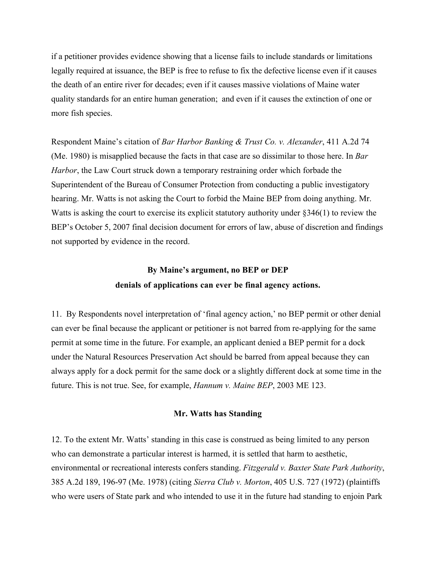if a petitioner provides evidence showing that a license fails to include standards or limitations legally required at issuance, the BEP is free to refuse to fix the defective license even if it causes the death of an entire river for decades; even if it causes massive violations of Maine water quality standards for an entire human generation; and even if it causes the extinction of one or more fish species.

Respondent Maine's citation of *Bar Harbor Banking & Trust Co. v. Alexander*, 411 A.2d 74 (Me. 1980) is misapplied because the facts in that case are so dissimilar to those here. In *Bar Harbor*, the Law Court struck down a temporary restraining order which forbade the Superintendent of the Bureau of Consumer Protection from conducting a public investigatory hearing. Mr. Watts is not asking the Court to forbid the Maine BEP from doing anything. Mr. Watts is asking the court to exercise its explicit statutory authority under §346(1) to review the BEP's October 5, 2007 final decision document for errors of law, abuse of discretion and findings not supported by evidence in the record.

## **By Maine's argument, no BEP or DEP denials of applications can ever be final agency actions.**

11. By Respondents novel interpretation of 'final agency action,' no BEP permit or other denial can ever be final because the applicant or petitioner is not barred from re-applying for the same permit at some time in the future. For example, an applicant denied a BEP permit for a dock under the Natural Resources Preservation Act should be barred from appeal because they can always apply for a dock permit for the same dock or a slightly different dock at some time in the future. This is not true. See, for example, *Hannum v. Maine BEP*, 2003 ME 123.

#### **Mr. Watts has Standing**

12. To the extent Mr. Watts' standing in this case is construed as being limited to any person who can demonstrate a particular interest is harmed, it is settled that harm to aesthetic, environmental or recreational interests confers standing. *Fitzgerald v. Baxter State Park Authority*, 385 A.2d 189, 196-97 (Me. 1978) (citing *Sierra Club v. Morton*, 405 U.S. 727 (1972) (plaintiffs who were users of State park and who intended to use it in the future had standing to enjoin Park